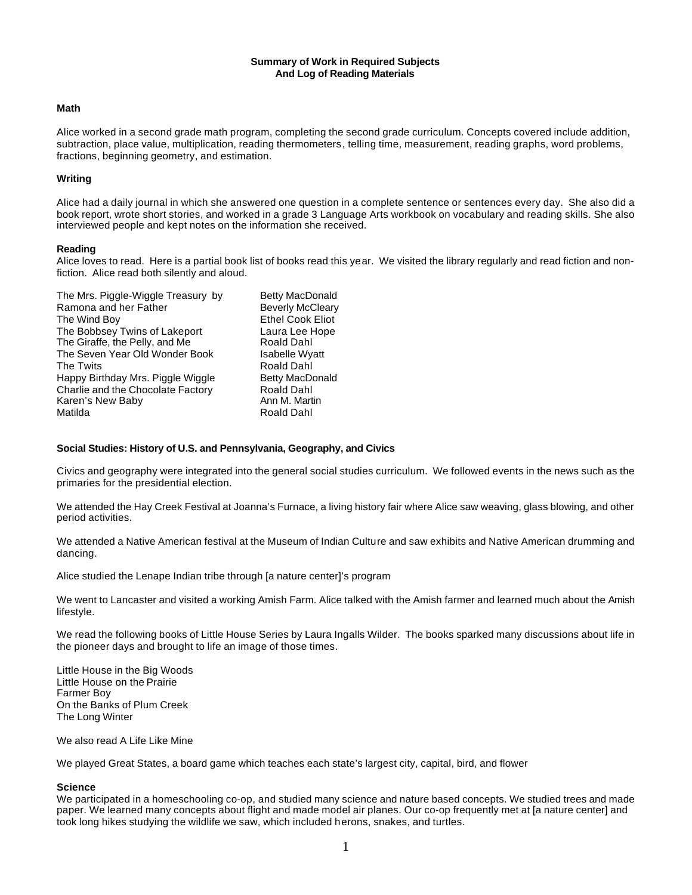## **Summary of Work in Required Subjects And Log of Reading Materials**

## **Math**

Alice worked in a second grade math program, completing the second grade curriculum. Concepts covered include addition, subtraction, place value, multiplication, reading thermometers, telling time, measurement, reading graphs, word problems, fractions, beginning geometry, and estimation.

# **Writing**

Alice had a daily journal in which she answered one question in a complete sentence or sentences every day. She also did a book report, wrote short stories, and worked in a grade 3 Language Arts workbook on vocabulary and reading skills. She also interviewed people and kept notes on the information she received.

# **Reading**

Alice loves to read. Here is a partial book list of books read this year. We visited the library regularly and read fiction and nonfiction. Alice read both silently and aloud.

| The Mrs. Piggle-Wiggle Treasury by | <b>Betty MacDonald</b>  |
|------------------------------------|-------------------------|
| Ramona and her Father              | <b>Beverly McCleary</b> |
| The Wind Boy                       | <b>Ethel Cook Eliot</b> |
| The Bobbsey Twins of Lakeport      | Laura Lee Hope          |
| The Giraffe, the Pelly, and Me     | Roald Dahl              |
| The Seven Year Old Wonder Book     | <b>Isabelle Wyatt</b>   |
| The Twits                          | Roald Dahl              |
| Happy Birthday Mrs. Piggle Wiggle  | <b>Betty MacDonald</b>  |
| Charlie and the Chocolate Factory  | Roald Dahl              |
| Karen's New Baby                   | Ann M. Martin           |
| Matilda                            | Roald Dahl              |
|                                    |                         |

# **Social Studies: History of U.S. and Pennsylvania, Geography, and Civics**

Civics and geography were integrated into the general social studies curriculum. We followed events in the news such as the primaries for the presidential election.

We attended the Hay Creek Festival at Joanna's Furnace, a living history fair where Alice saw weaving, glass blowing, and other period activities.

We attended a Native American festival at the Museum of Indian Culture and saw exhibits and Native American drumming and dancing.

Alice studied the Lenape Indian tribe through [a nature center]'s program

We went to Lancaster and visited a working Amish Farm. Alice talked with the Amish farmer and learned much about the Amish lifestyle.

We read the following books of Little House Series by Laura Ingalls Wilder. The books sparked many discussions about life in the pioneer days and brought to life an image of those times.

Little House in the Big Woods Little House on the Prairie Farmer Boy On the Banks of Plum Creek The Long Winter

We also read A Life Like Mine

We played Great States, a board game which teaches each state's largest city, capital, bird, and flower

### **Science**

We participated in a homeschooling co-op, and studied many science and nature based concepts. We studied trees and made paper. We learned many concepts about flight and made model air planes. Our co-op frequently met at [a nature center] and took long hikes studying the wildlife we saw, which included herons, snakes, and turtles.